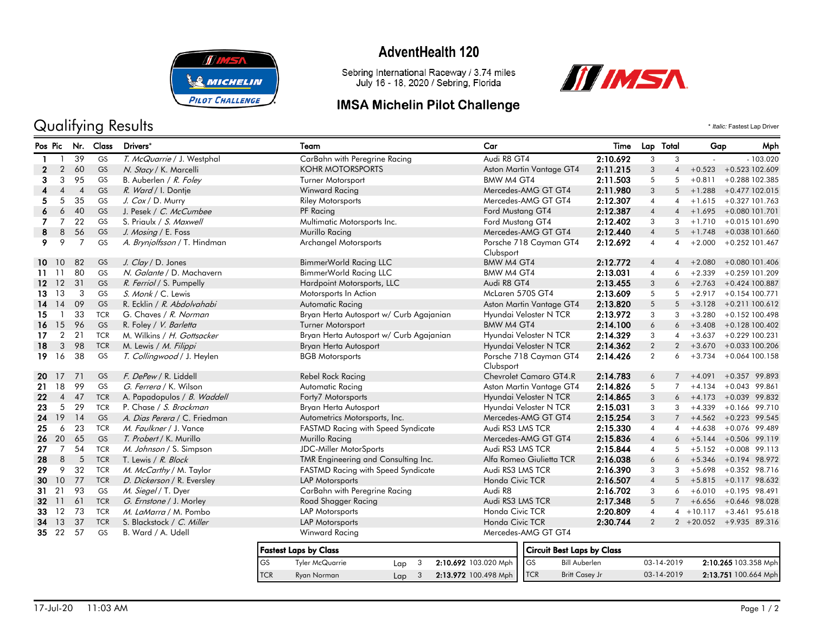

# Qualifying Results  $\cdot$  *Italic:* Fastest Lap Driver

## **AdventHealth 120**

Sebring International Raceway / 3.74 miles<br>July 16 - 18, 2020 / Sebring, Florida

### **IMSA Michelin Pilot Challenge**



| Pos Pic          |                |                | Nr. Class  | Drivers*                     | Team                                      | Car                                          | Time     |                | Lap Total               | Gap          | Mph                        |
|------------------|----------------|----------------|------------|------------------------------|-------------------------------------------|----------------------------------------------|----------|----------------|-------------------------|--------------|----------------------------|
|                  |                | 39             | GS         | T. McQuarrie / J. Westphal   | CarBahn with Peregrine Racing             | Audi R8 GT4                                  | 2:10.692 | 3              | 3                       |              | $-103.020$                 |
| 2.               | $\overline{2}$ | 60             | GS         | N. Stacy / K. Marcelli       | <b>KOHR MOTORSPORTS</b>                   | Aston Martin Vantage GT4                     | 2:11.215 | 3              | 4                       | $+0.523$     | +0.523 102.609             |
| 3                | 3              | 95             | GS         | B. Auberlen / R. Foley       | Turner Motorsport                         | BMW M4 GT4                                   | 2:11.503 | 5              | 5                       | $+0.811$     | +0.288 102.385             |
|                  | 4              | $\overline{4}$ | GS         | R. Ward / I. Dontje          | Winward Racing                            | Mercedes-AMG GT GT4                          | 2:11.980 | 3              | 5                       |              | $+1.288 + 0.477102.015$    |
| 5.               | 5              | 35             | GS         | J. Cox / D. Murry            | Riley Motorsports                         | Mercedes-AMG GT GT4                          | 2:12.307 | 4              | 4                       |              | $+1.615 + 0.327101.763$    |
|                  | 6              | 40             | GS         | J. Pesek / C. McCumbee       | PF Racing                                 | Ford Mustang GT4                             | 2:12.387 | 4              | 4                       |              | $+1.695 + 0.080101.701$    |
|                  | $\overline{7}$ | 22             | <b>GS</b>  | S. Priaulx / S. Maxwell      | Multimatic Motorsports Inc.               | Ford Mustang GT4                             | 2:12.402 | 3              | 3                       | $+1.710$     | +0.015 101.690             |
| 8                | 8              | 56             | GS         | J. Mosing / E. Foss          | Murillo Racing                            | Mercedes-AMG GT GT4                          | 2:12.440 | $\overline{4}$ | 5                       | $+1.748$     | +0.038 101.660             |
| 9.               | 9              | 7              | GS         | A. Brynjolfsson / T. Hindman | <b>Archangel Motorsports</b>              | Porsche 718 Cayman GT4<br>Clubsport          | 2:12.692 | $\overline{4}$ | $\overline{\mathbf{A}}$ | $+2.000$     | $+0.252$ 101.467           |
|                  | 10 10          | 82             | GS         | J. Clay / D. Jones           | BimmerWorld Racing LLC                    | BMW M4 GT4                                   | 2:12.772 | $\overline{4}$ | 4                       | $+2.080$     | +0.080 101.406             |
| 11.              | - 11           | 80             | GS         | N. Galante / D. Machavern    | BimmerWorld Racing LLC                    | BMW M4 GT4                                   | 2:13.031 | 4              | 6                       | $+2.339$     | +0.259 101.209             |
|                  | $12 \t12$      | 31             | GS         | R. Ferriol / S. Pumpelly     | Hardpoint Motorsports, LLC                | Audi R8 GT4                                  | 2:13.455 | 3              | 6                       |              | $+2.763 + 0.424100.887$    |
| 13               | 13             | 3              | GS         | S. Monk / C. Lewis           | Motorsports In Action                     | McLaren 570S GT4                             | 2:13.609 | 5              | 5                       | $+2.917$     | +0.154 100.771             |
| 14               | 14             | 09             | GS         | R. Ecklin / R. Abdolvahabi   | Automatic Racing                          | Aston Martin Vantage GT4                     | 2:13.820 | 5              | 5                       | $+3.128$     | $+0.211$ 100.612           |
| 15               |                | 33             | <b>TCR</b> | G. Chaves / R. Norman        | Bryan Herta Autosport w/ Curb Agajanian   | Hyundai Veloster N TCR                       | 2:13.972 | 3              | 3                       | $+3.280$     | +0.152 100.498             |
| 16.              | 15             | 96             | <b>GS</b>  | R. Foley / V. Barletta       | <b>Turner Motorsport</b>                  | BMW M4 GT4                                   | 2:14.100 | 6              | 6                       | $+3.408$     | +0.128 100.402             |
| 17               | $\overline{2}$ | 21             | <b>TCR</b> | M. Wilkins / H. Gottsacker   | Bryan Herta Autosport w/ Curb Agajanian   | Hyundai Veloster N TCR                       | 2:14.329 | 3              | 4                       | $+3.637$     | +0.229 100.231             |
| 18               | 3              | 98             | <b>TCR</b> | M. Lewis / M. Filippi        | Bryan Herta Autosport                     | Hyundai Veloster N TCR                       | 2:14.362 | $\overline{2}$ | $\overline{2}$          |              | $+3.670 + 0.033100.206$    |
| 19               | 16             | 38             | GS         | T. Collingwood / J. Heylen   | <b>BGB Motorsports</b>                    | Porsche 718 Cayman GT4<br>Clubsport          | 2:14.426 | $\overline{2}$ | 6                       | $+3.734$     | +0.064 100.158             |
|                  | 20 17          | 71             | <b>GS</b>  | F. DePew / R. Liddell        | Rebel Rock Racing                         | Chevrolet Camaro GT4.R                       | 2:14.783 | 6              |                         | $7 + 4.091$  | $+0.357$ 99.893            |
| 21               | 18             | 99             | GS         | G. Ferrera / K. Wilson       | Automatic Racing                          | Aston Martin Vantage GT4                     | 2:14.826 | 5              | $\overline{7}$          | $+4.134$     | $+0.043$ 99.861            |
| $22\phantom{.0}$ | $\overline{4}$ | 47             | <b>TCR</b> | A. Papadopulos / B. Waddell  | Forty7 Motorsports                        | Hyundai Veloster N TCR                       | 2:14.865 | 3              | 6                       | $+4.173$     | $+0.039$ 99.832            |
| 23               | 5              | 29             | <b>TCR</b> | P. Chase / S. Brockman       | Bryan Herta Autosport                     | Hyundai Veloster N TCR                       | 2:15.031 | 3              | 3                       | $+4.339$     | $+0.166$ 99.710            |
| 24               | 19             | 14             | <b>GS</b>  | A. Dias Perera / C. Friedman | Autometrics Motorsports, Inc.             | Mercedes-AMG GT GT4                          | 2:15.254 | 3              | 7                       |              | $+4.562 + 0.223$ 99.545    |
| 25               | 6              | 23             | <b>TCR</b> | M. Faulkner / J. Vance       | <b>FASTMD Racing with Speed Syndicate</b> | Audi RS3 LMS TCR                             | 2:15.330 | $\overline{4}$ | 4                       | $+4.638$     | $+0.076$ 99.489            |
| 26               | 20             | 65             | GS         | T. Probert / K. Murillo      | Murillo Racing                            | Mercedes-AMG GT GT4                          | 2:15.836 | $\overline{4}$ | 6                       | $+5.144$     | $+0.506$ 99.119            |
| 27               | 7              | 54             | <b>TCR</b> | M. Johnson / S. Simpson      | <b>JDC-Miller MotorSports</b>             | Audi RS3 LMS TCR                             | 2:15.844 | 4              | 5                       | $+5.152$     | $+0.008$ 99.113            |
| 28               | 8              | 5              | <b>TCR</b> | T. Lewis / R. Block          | TMR Engineering and Consulting Inc.       | Alfa Romeo Giulietta TCR                     | 2:16.038 | 6              | 6                       |              | $+5.346 +0.194$ 98.972     |
| 29               | 9              | 32             | <b>TCR</b> | M. McCarthy / M. Taylor      | <b>FASTMD Racing with Speed Syndicate</b> | Audi RS3 LMS TCR                             | 2:16.390 | 3              | 3                       |              | $+5.698 + 0.352$ 98.716    |
| 30               | 10             | 77             | <b>TCR</b> | D. Dickerson / R. Eversley   | <b>LAP Motorsports</b>                    | Honda Civic TCR                              | 2:16.507 | $\overline{4}$ | 5                       | $+5.815$     | $+0.117$ 98.632            |
| 31               | 21             | 93             | GS         | M. Siegel / T. Dyer          | CarBahn with Peregrine Racing             | Audi R8                                      | 2:16.702 | 3              | 6                       | $+6.010$     | $+0.195$ 98.491            |
|                  | 32 11          | 61             | <b>TCR</b> | G. Ernstone / J. Morley      | Road Shagger Racing                       | Audi RS3 LMS TCR                             | 2:17.348 | 5              |                         | $+6.656$     | +0.646 98.028              |
| 33               | 12             | 73             | <b>TCR</b> | M. LaMarra / M. Pombo        | LAP Motorsports                           | Honda Civic TCR                              | 2:20.809 | $\overline{4}$ |                         | $4 + 10.117$ | $+3.461$ 95.618            |
|                  | 34 13          | 37             | <b>TCR</b> | S. Blackstock / C. Miller    | LAP Motorsports                           | Honda Civic TCR                              | 2:30.744 | 2              |                         |              | $2 + 20.052 + 9.93589.316$ |
|                  | 35 22          | 57             | GS         | B. Ward / A. Udell           | Winward Racing                            | Mercedes-AMG GT GT4                          |          |                |                         |              |                            |
|                  |                |                |            |                              | England Long by Class                     | $C2$ $C3$ $C4$ $D5$ $A5$ $C6$ $C7$ $C8$ $C9$ |          |                |                         |              |                            |

|            | <b>Fastest Laps by Class</b> |     |                          |  |
|------------|------------------------------|-----|--------------------------|--|
| l GS       | Tyler McQuarrie              | Lap | 2:10.692 103.020 Mph   G |  |
| <b>TCR</b> | Ryan Norman                  | Lap | 2:13.972 100.498 Mph     |  |

|                      | Circuit Best Laps by Class |            |                      |
|----------------------|----------------------------|------------|----------------------|
| 20 Mph<br>98 Mph TCR | Bill Auberlen              | 03-14-2019 | 2:10.265 103.358 Mph |
|                      | <b>Britt Casey Jr</b>      | 03-14-2019 | 2:13.751 100.664 Mph |